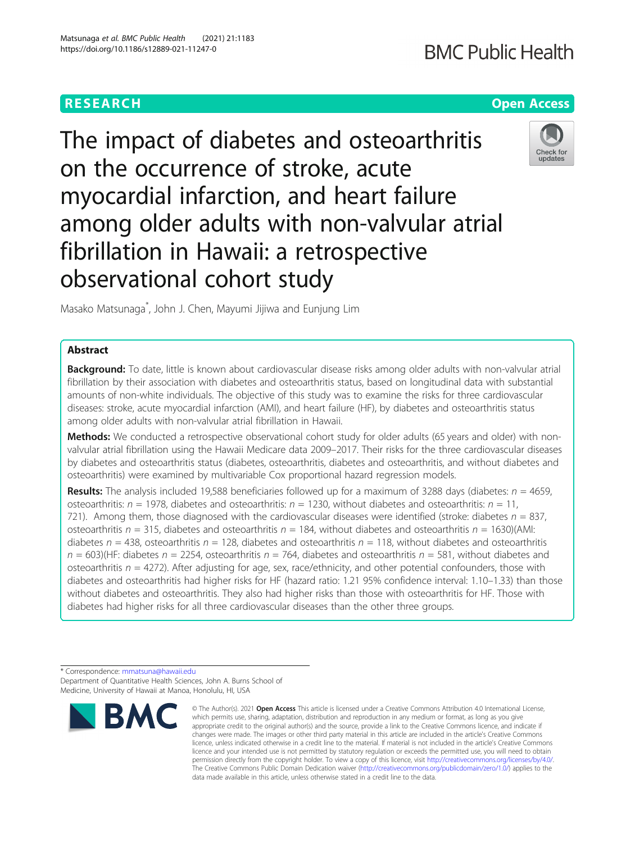# https://doi.org/10.1186/s12889-021-11247-0

Matsunaga et al. BMC Public Health (2021) 21:1183

## **RESEARCH CHEAR CHEAR CHEAR CHEAR CHEAR CHEAP CONTROL**

# **BMC Public Health**



The impact of diabetes and osteoarthritis on the occurrence of stroke, acute myocardial infarction, and heart failure among older adults with non-valvular atrial fibrillation in Hawaii: a retrospective observational cohort study

Masako Matsunaga\* , John J. Chen, Mayumi Jijiwa and Eunjung Lim

### Abstract

Background: To date, little is known about cardiovascular disease risks among older adults with non-valvular atrial fibrillation by their association with diabetes and osteoarthritis status, based on longitudinal data with substantial amounts of non-white individuals. The objective of this study was to examine the risks for three cardiovascular diseases: stroke, acute myocardial infarction (AMI), and heart failure (HF), by diabetes and osteoarthritis status among older adults with non-valvular atrial fibrillation in Hawaii.

Methods: We conducted a retrospective observational cohort study for older adults (65 years and older) with nonvalvular atrial fibrillation using the Hawaii Medicare data 2009–2017. Their risks for the three cardiovascular diseases by diabetes and osteoarthritis status (diabetes, osteoarthritis, diabetes and osteoarthritis, and without diabetes and osteoarthritis) were examined by multivariable Cox proportional hazard regression models.

**Results:** The analysis included 19,588 beneficiaries followed up for a maximum of 3288 days (diabetes:  $n = 4659$ , osteoarthritis:  $n = 1978$ , diabetes and osteoarthritis:  $n = 1230$ , without diabetes and osteoarthritis:  $n = 11$ , 721). Among them, those diagnosed with the cardiovascular diseases were identified (stroke: diabetes  $n = 837$ , osteoarthritis  $n = 315$ , diabetes and osteoarthritis  $n = 184$ , without diabetes and osteoarthritis  $n = 1630$ )(AMI: diabetes  $n = 438$ , osteoarthritis  $n = 128$ , diabetes and osteoarthritis  $n = 118$ , without diabetes and osteoarthritis  $n = 603$ )(HF: diabetes  $n = 2254$ , osteoarthritis  $n = 764$ , diabetes and osteoarthritis  $n = 581$ , without diabetes and osteoarthritis  $n = 4272$ ). After adjusting for age, sex, race/ethnicity, and other potential confounders, those with diabetes and osteoarthritis had higher risks for HF (hazard ratio: 1.21 95% confidence interval: 1.10–1.33) than those without diabetes and osteoarthritis. They also had higher risks than those with osteoarthritis for HF. Those with diabetes had higher risks for all three cardiovascular diseases than the other three groups.

\* Correspondence: [mmatsuna@hawaii.edu](mailto:mmatsuna@hawaii.edu) Department of Quantitative Health Sciences, John A. Burns School of Medicine, University of Hawaii at Manoa, Honolulu, HI, USA



<sup>©</sup> The Author(s), 2021 **Open Access** This article is licensed under a Creative Commons Attribution 4.0 International License, which permits use, sharing, adaptation, distribution and reproduction in any medium or format, as long as you give appropriate credit to the original author(s) and the source, provide a link to the Creative Commons licence, and indicate if changes were made. The images or other third party material in this article are included in the article's Creative Commons licence, unless indicated otherwise in a credit line to the material. If material is not included in the article's Creative Commons licence and your intended use is not permitted by statutory regulation or exceeds the permitted use, you will need to obtain permission directly from the copyright holder. To view a copy of this licence, visit [http://creativecommons.org/licenses/by/4.0/.](http://creativecommons.org/licenses/by/4.0/) The Creative Commons Public Domain Dedication waiver [\(http://creativecommons.org/publicdomain/zero/1.0/](http://creativecommons.org/publicdomain/zero/1.0/)) applies to the data made available in this article, unless otherwise stated in a credit line to the data.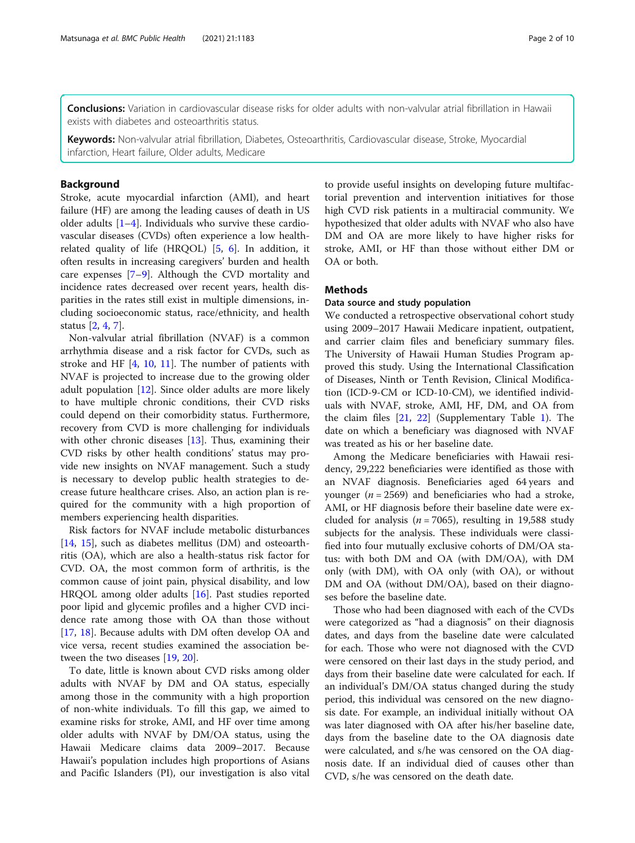Conclusions: Variation in cardiovascular disease risks for older adults with non-valvular atrial fibrillation in Hawaii exists with diabetes and osteoarthritis status.

Keywords: Non-valvular atrial fibrillation, Diabetes, Osteoarthritis, Cardiovascular disease, Stroke, Myocardial infarction, Heart failure, Older adults, Medicare

#### Background

Stroke, acute myocardial infarction (AMI), and heart failure (HF) are among the leading causes of death in US older adults  $[1-4]$  $[1-4]$  $[1-4]$  $[1-4]$ . Individuals who survive these cardiovascular diseases (CVDs) often experience a low healthrelated quality of life (HRQOL) [\[5](#page-8-0), [6](#page-8-0)]. In addition, it often results in increasing caregivers' burden and health care expenses [\[7](#page-8-0)–[9\]](#page-8-0). Although the CVD mortality and incidence rates decreased over recent years, health disparities in the rates still exist in multiple dimensions, including socioeconomic status, race/ethnicity, and health status [\[2](#page-8-0), [4](#page-8-0), [7](#page-8-0)].

Non-valvular atrial fibrillation (NVAF) is a common arrhythmia disease and a risk factor for CVDs, such as stroke and HF [[4,](#page-8-0) [10](#page-8-0), [11](#page-8-0)]. The number of patients with NVAF is projected to increase due to the growing older adult population [[12\]](#page-8-0). Since older adults are more likely to have multiple chronic conditions, their CVD risks could depend on their comorbidity status. Furthermore, recovery from CVD is more challenging for individuals with other chronic diseases [[13\]](#page-8-0). Thus, examining their CVD risks by other health conditions' status may provide new insights on NVAF management. Such a study is necessary to develop public health strategies to decrease future healthcare crises. Also, an action plan is required for the community with a high proportion of members experiencing health disparities.

Risk factors for NVAF include metabolic disturbances [[14,](#page-8-0) [15\]](#page-8-0), such as diabetes mellitus (DM) and osteoarthritis (OA), which are also a health-status risk factor for CVD. OA, the most common form of arthritis, is the common cause of joint pain, physical disability, and low HRQOL among older adults [\[16](#page-8-0)]. Past studies reported poor lipid and glycemic profiles and a higher CVD incidence rate among those with OA than those without [[17,](#page-8-0) [18](#page-8-0)]. Because adults with DM often develop OA and vice versa, recent studies examined the association between the two diseases [\[19,](#page-8-0) [20\]](#page-8-0).

To date, little is known about CVD risks among older adults with NVAF by DM and OA status, especially among those in the community with a high proportion of non-white individuals. To fill this gap, we aimed to examine risks for stroke, AMI, and HF over time among older adults with NVAF by DM/OA status, using the Hawaii Medicare claims data 2009–2017. Because Hawaii's population includes high proportions of Asians and Pacific Islanders (PI), our investigation is also vital

to provide useful insights on developing future multifactorial prevention and intervention initiatives for those high CVD risk patients in a multiracial community. We hypothesized that older adults with NVAF who also have DM and OA are more likely to have higher risks for stroke, AMI, or HF than those without either DM or OA or both.

#### **Methods**

#### Data source and study population

We conducted a retrospective observational cohort study using 2009–2017 Hawaii Medicare inpatient, outpatient, and carrier claim files and beneficiary summary files. The University of Hawaii Human Studies Program approved this study. Using the International Classification of Diseases, Ninth or Tenth Revision, Clinical Modification (ICD-9-CM or ICD-10-CM), we identified individuals with NVAF, stroke, AMI, HF, DM, and OA from the claim files  $[21, 22]$  $[21, 22]$  $[21, 22]$  $[21, 22]$  (Supplementary Table [1\)](#page-7-0). The date on which a beneficiary was diagnosed with NVAF was treated as his or her baseline date.

Among the Medicare beneficiaries with Hawaii residency, 29,222 beneficiaries were identified as those with an NVAF diagnosis. Beneficiaries aged 64 years and younger ( $n = 2569$ ) and beneficiaries who had a stroke, AMI, or HF diagnosis before their baseline date were excluded for analysis ( $n = 7065$ ), resulting in 19,588 study subjects for the analysis. These individuals were classified into four mutually exclusive cohorts of DM/OA status: with both DM and OA (with DM/OA), with DM only (with DM), with OA only (with OA), or without DM and OA (without DM/OA), based on their diagnoses before the baseline date.

Those who had been diagnosed with each of the CVDs were categorized as "had a diagnosis" on their diagnosis dates, and days from the baseline date were calculated for each. Those who were not diagnosed with the CVD were censored on their last days in the study period, and days from their baseline date were calculated for each. If an individual's DM/OA status changed during the study period, this individual was censored on the new diagnosis date. For example, an individual initially without OA was later diagnosed with OA after his/her baseline date, days from the baseline date to the OA diagnosis date were calculated, and s/he was censored on the OA diagnosis date. If an individual died of causes other than CVD, s/he was censored on the death date.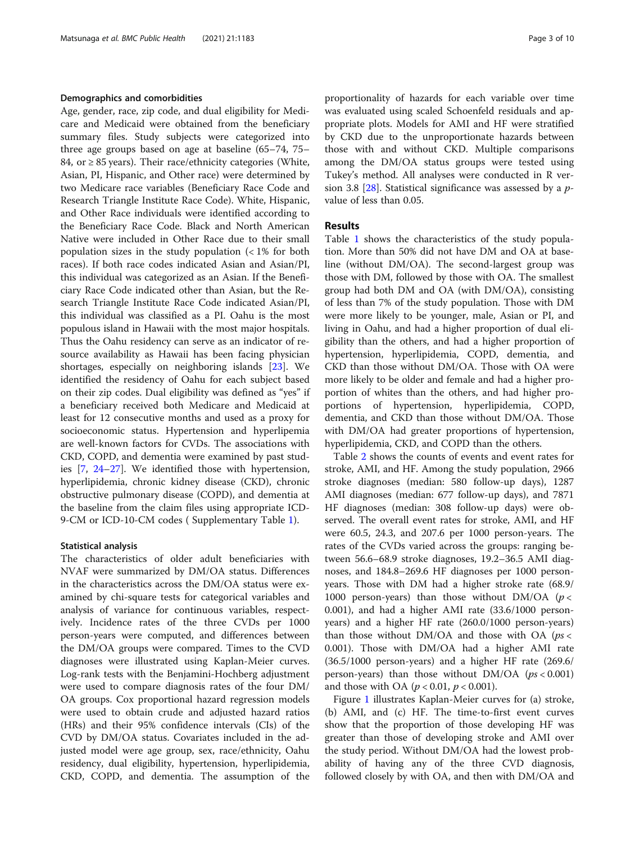#### Demographics and comorbidities

Age, gender, race, zip code, and dual eligibility for Medicare and Medicaid were obtained from the beneficiary summary files. Study subjects were categorized into three age groups based on age at baseline (65–74, 75– 84, or  $\geq$  85 years). Their race/ethnicity categories (White, Asian, PI, Hispanic, and Other race) were determined by two Medicare race variables (Beneficiary Race Code and Research Triangle Institute Race Code). White, Hispanic, and Other Race individuals were identified according to the Beneficiary Race Code. Black and North American Native were included in Other Race due to their small population sizes in the study population  $\langle$  < 1% for both races). If both race codes indicated Asian and Asian/PI, this individual was categorized as an Asian. If the Beneficiary Race Code indicated other than Asian, but the Research Triangle Institute Race Code indicated Asian/PI, this individual was classified as a PI. Oahu is the most populous island in Hawaii with the most major hospitals. Thus the Oahu residency can serve as an indicator of resource availability as Hawaii has been facing physician shortages, especially on neighboring islands [\[23](#page-8-0)]. We identified the residency of Oahu for each subject based on their zip codes. Dual eligibility was defined as "yes" if a beneficiary received both Medicare and Medicaid at least for 12 consecutive months and used as a proxy for socioeconomic status. Hypertension and hyperlipemia are well-known factors for CVDs. The associations with CKD, COPD, and dementia were examined by past studies [[7](#page-8-0), [24](#page-8-0)–[27](#page-8-0)]. We identified those with hypertension, hyperlipidemia, chronic kidney disease (CKD), chronic obstructive pulmonary disease (COPD), and dementia at the baseline from the claim files using appropriate ICD-9-CM or ICD-10-CM codes ( Supplementary Table [1](#page-7-0)).

#### Statistical analysis

The characteristics of older adult beneficiaries with NVAF were summarized by DM/OA status. Differences in the characteristics across the DM/OA status were examined by chi-square tests for categorical variables and analysis of variance for continuous variables, respectively. Incidence rates of the three CVDs per 1000 person-years were computed, and differences between the DM/OA groups were compared. Times to the CVD diagnoses were illustrated using Kaplan-Meier curves. Log-rank tests with the Benjamini-Hochberg adjustment were used to compare diagnosis rates of the four DM/ OA groups. Cox proportional hazard regression models were used to obtain crude and adjusted hazard ratios (HRs) and their 95% confidence intervals (CIs) of the CVD by DM/OA status. Covariates included in the adjusted model were age group, sex, race/ethnicity, Oahu residency, dual eligibility, hypertension, hyperlipidemia, CKD, COPD, and dementia. The assumption of the proportionality of hazards for each variable over time was evaluated using scaled Schoenfeld residuals and appropriate plots. Models for AMI and HF were stratified by CKD due to the unproportionate hazards between those with and without CKD. Multiple comparisons among the DM/OA status groups were tested using Tukey's method. All analyses were conducted in R version 3.8 [ $28$ ]. Statistical significance was assessed by a *p*value of less than 0.05.

#### Results

Table [1](#page-3-0) shows the characteristics of the study population. More than 50% did not have DM and OA at baseline (without DM/OA). The second-largest group was those with DM, followed by those with OA. The smallest group had both DM and OA (with DM/OA), consisting of less than 7% of the study population. Those with DM were more likely to be younger, male, Asian or PI, and living in Oahu, and had a higher proportion of dual eligibility than the others, and had a higher proportion of hypertension, hyperlipidemia, COPD, dementia, and CKD than those without DM/OA. Those with OA were more likely to be older and female and had a higher proportion of whites than the others, and had higher proportions of hypertension, hyperlipidemia, COPD, dementia, and CKD than those without DM/OA. Those with DM/OA had greater proportions of hypertension, hyperlipidemia, CKD, and COPD than the others.

Table [2](#page-4-0) shows the counts of events and event rates for stroke, AMI, and HF. Among the study population, 2966 stroke diagnoses (median: 580 follow-up days), 1287 AMI diagnoses (median: 677 follow-up days), and 7871 HF diagnoses (median: 308 follow-up days) were observed. The overall event rates for stroke, AMI, and HF were 60.5, 24.3, and 207.6 per 1000 person-years. The rates of the CVDs varied across the groups: ranging between 56.6–68.9 stroke diagnoses, 19.2–36.5 AMI diagnoses, and 184.8–269.6 HF diagnoses per 1000 personyears. Those with DM had a higher stroke rate (68.9/ 1000 person-years) than those without DM/OA ( $p <$ 0.001), and had a higher AMI rate (33.6/1000 personyears) and a higher HF rate (260.0/1000 person-years) than those without DM/OA and those with OA ( $ps <$ 0.001). Those with DM/OA had a higher AMI rate (36.5/1000 person-years) and a higher HF rate (269.6/ person-years) than those without  $DM/OA$  ( $ps < 0.001$ ) and those with OA ( $p < 0.01$ ,  $p < 0.001$ ).

Figure [1](#page-5-0) illustrates Kaplan-Meier curves for (a) stroke, (b) AMI, and (c) HF. The time-to-first event curves show that the proportion of those developing HF was greater than those of developing stroke and AMI over the study period. Without DM/OA had the lowest probability of having any of the three CVD diagnosis, followed closely by with OA, and then with DM/OA and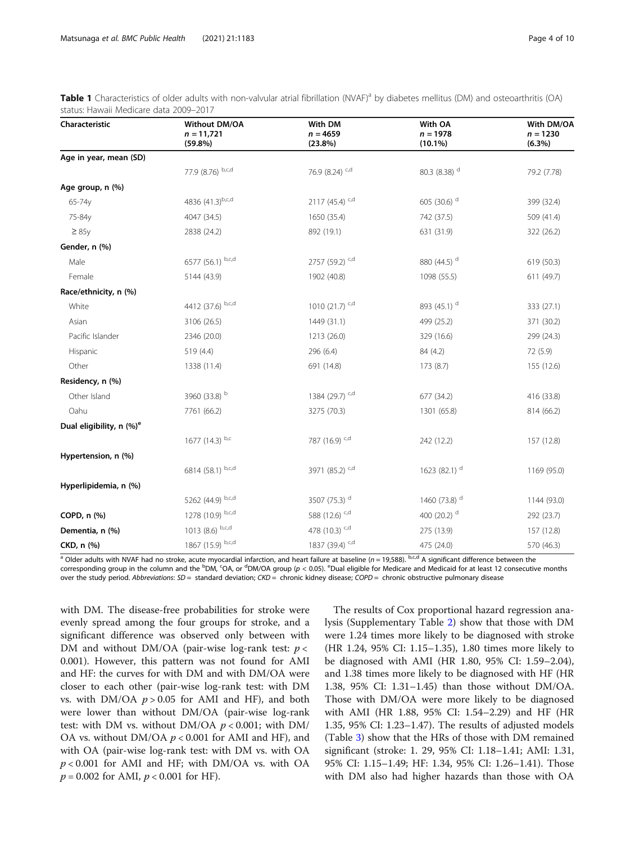| Characteristic                       | Without DM/OA<br>$n = 11,721$<br>(59.8%) | With DM<br>$n = 4659$<br>(23.8%) | With OA<br>$n = 1978$<br>$(10.1\%)$ | With DM/OA<br>$n = 1230$<br>$(6.3\%)$ |
|--------------------------------------|------------------------------------------|----------------------------------|-------------------------------------|---------------------------------------|
| Age in year, mean (SD)               |                                          |                                  |                                     |                                       |
|                                      | 77.9 (8.76) b,c,d                        | 76.9 (8.24) $c,d$                | 80.3 (8.38) <sup>d</sup>            | 79.2 (7.78)                           |
| Age group, n (%)                     |                                          |                                  |                                     |                                       |
| 65-74y                               | 4836 (41.3)b,c,d                         | 2117 (45.4) $c,d$                | 605 (30.6) d                        | 399 (32.4)                            |
| 75-84y                               | 4047 (34.5)                              | 1650 (35.4)                      | 742 (37.5)                          | 509 (41.4)                            |
| $\geq 85y$                           | 2838 (24.2)                              | 892 (19.1)                       | 631 (31.9)                          | 322 (26.2)                            |
| Gender, n (%)                        |                                          |                                  |                                     |                                       |
| Male                                 | 6577 (56.1) b,c,d                        | 2757 (59.2) c,d                  | 880 (44.5) <sup>d</sup>             | 619 (50.3)                            |
| Female                               | 5144 (43.9)                              | 1902 (40.8)                      | 1098 (55.5)                         | 611 (49.7)                            |
| Race/ethnicity, n (%)                |                                          |                                  |                                     |                                       |
| White                                | 4412 (37.6) b,c,d                        | 1010 $(21.7)^{c,d}$              | 893 (45.1) <sup>d</sup>             | 333 (27.1)                            |
| Asian                                | 3106 (26.5)                              | 1449 (31.1)                      | 499 (25.2)                          | 371 (30.2)                            |
| Pacific Islander                     | 2346 (20.0)                              | 1213 (26.0)                      | 329 (16.6)                          | 299 (24.3)                            |
| Hispanic                             | 519 (4.4)                                | 296 (6.4)                        | 84 (4.2)                            | 72 (5.9)                              |
| Other                                | 1338 (11.4)                              | 691 (14.8)                       | 173 (8.7)                           | 155 (12.6)                            |
| Residency, n (%)                     |                                          |                                  |                                     |                                       |
| Other Island                         | 3960 (33.8) b                            | 1384 (29.7) <sup>c,d</sup>       | 677 (34.2)                          | 416 (33.8)                            |
| Oahu                                 | 7761 (66.2)                              | 3275 (70.3)                      | 1301 (65.8)                         | 814 (66.2)                            |
| Dual eligibility, n (%) <sup>e</sup> |                                          |                                  |                                     |                                       |
|                                      | 1677 (14.3) b,c                          | 787 (16.9) <sup>c,d</sup>        | 242 (12.2)                          | 157 (12.8)                            |
| Hypertension, n (%)                  |                                          |                                  |                                     |                                       |
|                                      | 6814 (58.1) b,c,d                        | 3971 (85.2) <sup>c,d</sup>       | 1623 (82.1) <sup>d</sup>            | 1169 (95.0)                           |
| Hyperlipidemia, n (%)                |                                          |                                  |                                     |                                       |
|                                      | 5262 (44.9) b,c,d                        | 3507 (75.3) <sup>d</sup>         | 1460 (73.8) <sup>d</sup>            | 1144 (93.0)                           |
| COPD, n (%)                          | 1278 (10.9) b,c,d                        | 588 (12.6) <sup>c,d</sup>        | 400 (20.2) d                        | 292 (23.7)                            |
| Dementia, n (%)                      | 1013 (8.6) $b,c,d$                       | 478 (10.3) <sup>c,d</sup>        | 275 (13.9)                          | 157 (12.8)                            |
| CKD, n (%)                           | 1867 (15.9) b,c,d                        | 1837 (39.4) <sup>c,d</sup>       | 475 (24.0)                          | 570 (46.3)                            |

<span id="page-3-0"></span>Table 1 Characteristics of older adults with non-valvular atrial fibrillation (NVAF)<sup>a</sup> by diabetes mellitus (DM) and osteoarthritis (OA) status: Hawaii Medicare data 2009–2017

<sup>a</sup> Older adults with NVAF had no stroke, acute myocardial infarction, and heart failure at baseline ( $n = 19,588$ ).  $b, cd$  A significant difference between the corresponding group in the column and the <sup>b</sup>DM, <sup>c</sup>OA, or <sup>d</sup>DM/OA group ( $p < 0.05$ ). <sup>e</sup>Dual eligible for Medicare and Medicaid for at least 12 consecutive months over the study period. Abbreviations:  $SD =$  standard deviation;  $CKD =$  chronic kidney disease;  $COPD =$  chronic obstructive pulmonary disease

with DM. The disease-free probabilities for stroke were evenly spread among the four groups for stroke, and a significant difference was observed only between with DM and without DM/OA (pair-wise log-rank test:  $p <$ 0.001). However, this pattern was not found for AMI and HF: the curves for with DM and with DM/OA were closer to each other (pair-wise log-rank test: with DM vs. with DM/OA  $p > 0.05$  for AMI and HF), and both were lower than without DM/OA (pair-wise log-rank test: with DM vs. without DM/OA  $p < 0.001$ ; with DM/ OA vs. without DM/OA  $p < 0.001$  for AMI and HF), and with OA (pair-wise log-rank test: with DM vs. with OA  $p < 0.001$  for AMI and HF; with DM/OA vs. with OA  $p = 0.002$  for AMI,  $p < 0.001$  for HF).

The results of Cox proportional hazard regression analysis (Supplementary Table [2\)](#page-7-0) show that those with DM were 1.24 times more likely to be diagnosed with stroke (HR 1.24, 95% CI: 1.15–1.35), 1.80 times more likely to be diagnosed with AMI (HR 1.80, 95% CI: 1.59–2.04), and 1.38 times more likely to be diagnosed with HF (HR 1.38, 95% CI: 1.31–1.45) than those without DM/OA. Those with DM/OA were more likely to be diagnosed with AMI (HR 1.88, 95% CI: 1.54–2.29) and HF (HR 1.35, 95% CI: 1.23–1.47). The results of adjusted models (Table [3\)](#page-6-0) show that the HRs of those with DM remained significant (stroke: 1. 29, 95% CI: 1.18–1.41; AMI: 1.31, 95% CI: 1.15–1.49; HF: 1.34, 95% CI: 1.26–1.41). Those with DM also had higher hazards than those with OA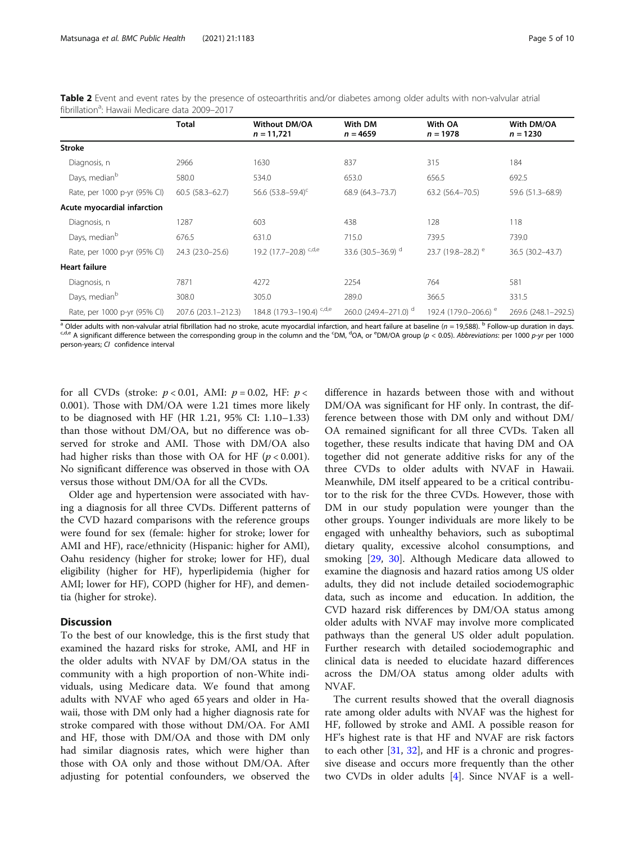<span id="page-4-0"></span>

| Table 2 Event and event rates by the presence of osteoarthritis and/or diabetes among older adults with non-valvular atrial |  |  |  |  |  |
|-----------------------------------------------------------------------------------------------------------------------------|--|--|--|--|--|
| fibrillation <sup>a</sup> : Hawaii Medicare data 2009–2017                                                                  |  |  |  |  |  |

|                              | Total               | <b>Without DM/OA</b><br>$n = 11,721$ | With DM<br>$n = 4659$             | With OA<br>$n = 1978$            | With DM/OA<br>$n = 1230$ |
|------------------------------|---------------------|--------------------------------------|-----------------------------------|----------------------------------|--------------------------|
| <b>Stroke</b>                |                     |                                      |                                   |                                  |                          |
| Diagnosis, n                 | 2966                | 1630                                 | 837                               | 315                              | 184                      |
| Days, median <sup>b</sup>    | 580.0               | 534.0                                | 653.0                             | 656.5                            | 692.5                    |
| Rate, per 1000 p-yr (95% CI) | $60.5(58.3 - 62.7)$ | 56.6 $(53.8 - 59.4)^c$               | 68.9 (64.3-73.7)                  | $63.2(56.4 - 70.5)$              | 59.6 (51.3-68.9)         |
| Acute myocardial infarction  |                     |                                      |                                   |                                  |                          |
| Diagnosis, n                 | 1287                | 603                                  | 438                               | 128                              | 118                      |
| Days, median <sup>b</sup>    | 676.5               | 631.0                                | 715.0                             | 739.5                            | 739.0                    |
| Rate, per 1000 p-yr (95% CI) | 24.3 (23.0-25.6)    | 19.2 (17.7-20.8) <sup>c,d,e</sup>    | 33.6 $(30.5 - 36.9)$ <sup>d</sup> | 23.7 (19.8–28.2) <sup>e</sup>    | 36.5 (30.2-43.7)         |
| <b>Heart failure</b>         |                     |                                      |                                   |                                  |                          |
| Diagnosis, n                 | 7871                | 4272                                 | 2254                              | 764                              | 581                      |
| Days, median <sup>b</sup>    | 308.0               | 305.0                                | 289.0                             | 366.5                            | 331.5                    |
| Rate, per 1000 p-yr (95% CI) | 207.6 (203.1-212.3) | 184.8 (179.3-190.4) <sup>c,d,e</sup> | 260.0 (249.4-271.0) <sup>d</sup>  | 192.4 (179.0-206.6) <sup>e</sup> | 269.6 (248.1-292.5)      |

<sup>a</sup> Older adults with non-valvular atrial fibrillation had no stroke, acute myocardial infarction, and heart failure at baseline (*n* = 19,588). <sup>b</sup> Follow-up duration in days.<br><sup>c.d.e</sup> A significant difference between the person-years; CI confidence interval

for all CVDs (stroke:  $p < 0.01$ , AMI:  $p = 0.02$ , HF:  $p <$ 0.001). Those with DM/OA were 1.21 times more likely to be diagnosed with HF (HR 1.21, 95% CI: 1.10–1.33) than those without DM/OA, but no difference was observed for stroke and AMI. Those with DM/OA also had higher risks than those with OA for HF ( $p < 0.001$ ). No significant difference was observed in those with OA versus those without DM/OA for all the CVDs.

Older age and hypertension were associated with having a diagnosis for all three CVDs. Different patterns of the CVD hazard comparisons with the reference groups were found for sex (female: higher for stroke; lower for AMI and HF), race/ethnicity (Hispanic: higher for AMI), Oahu residency (higher for stroke; lower for HF), dual eligibility (higher for HF), hyperlipidemia (higher for AMI; lower for HF), COPD (higher for HF), and dementia (higher for stroke).

#### Discussion

To the best of our knowledge, this is the first study that examined the hazard risks for stroke, AMI, and HF in the older adults with NVAF by DM/OA status in the community with a high proportion of non-White individuals, using Medicare data. We found that among adults with NVAF who aged 65 years and older in Hawaii, those with DM only had a higher diagnosis rate for stroke compared with those without DM/OA. For AMI and HF, those with DM/OA and those with DM only had similar diagnosis rates, which were higher than those with OA only and those without DM/OA. After adjusting for potential confounders, we observed the

difference in hazards between those with and without DM/OA was significant for HF only. In contrast, the difference between those with DM only and without DM/ OA remained significant for all three CVDs. Taken all together, these results indicate that having DM and OA together did not generate additive risks for any of the three CVDs to older adults with NVAF in Hawaii. Meanwhile, DM itself appeared to be a critical contributor to the risk for the three CVDs. However, those with DM in our study population were younger than the other groups. Younger individuals are more likely to be engaged with unhealthy behaviors, such as suboptimal dietary quality, excessive alcohol consumptions, and smoking [[29,](#page-8-0) [30\]](#page-8-0). Although Medicare data allowed to examine the diagnosis and hazard ratios among US older adults, they did not include detailed sociodemographic data, such as income and education. In addition, the CVD hazard risk differences by DM/OA status among older adults with NVAF may involve more complicated pathways than the general US older adult population. Further research with detailed sociodemographic and clinical data is needed to elucidate hazard differences across the DM/OA status among older adults with NVAF.

The current results showed that the overall diagnosis rate among older adults with NVAF was the highest for HF, followed by stroke and AMI. A possible reason for HF's highest rate is that HF and NVAF are risk factors to each other [\[31](#page-9-0), [32](#page-9-0)], and HF is a chronic and progressive disease and occurs more frequently than the other two CVDs in older adults [\[4](#page-8-0)]. Since NVAF is a well-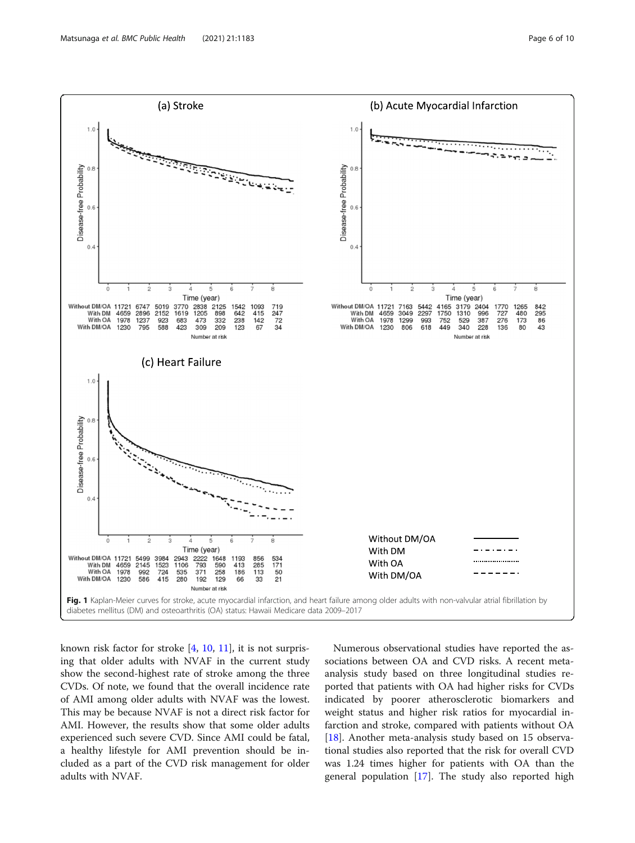<span id="page-5-0"></span>

known risk factor for stroke [\[4](#page-8-0), [10](#page-8-0), [11\]](#page-8-0), it is not surprising that older adults with NVAF in the current study show the second-highest rate of stroke among the three CVDs. Of note, we found that the overall incidence rate of AMI among older adults with NVAF was the lowest. This may be because NVAF is not a direct risk factor for AMI. However, the results show that some older adults experienced such severe CVD. Since AMI could be fatal, a healthy lifestyle for AMI prevention should be included as a part of the CVD risk management for older adults with NVAF.

Numerous observational studies have reported the associations between OA and CVD risks. A recent metaanalysis study based on three longitudinal studies reported that patients with OA had higher risks for CVDs indicated by poorer atherosclerotic biomarkers and weight status and higher risk ratios for myocardial infarction and stroke, compared with patients without OA [[18\]](#page-8-0). Another meta-analysis study based on 15 observational studies also reported that the risk for overall CVD was 1.24 times higher for patients with OA than the general population [[17](#page-8-0)]. The study also reported high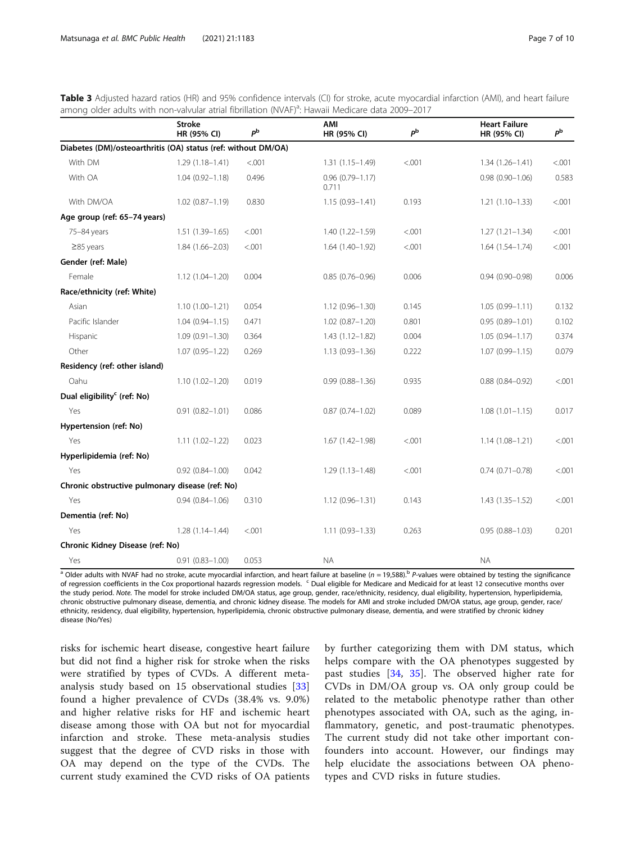<span id="page-6-0"></span>

| Table 3 Adjusted hazard ratios (HR) and 95% confidence intervals (CI) for stroke, acute myocardial infarction (AMI), and heart failure |  |  |
|----------------------------------------------------------------------------------------------------------------------------------------|--|--|
| among older adults with non-valvular atrial fibrillation (NVAF) <sup>a</sup> : Hawaii Medicare data 2009-2017                          |  |  |

|                                         | <b>Stroke</b><br>HR (95% CI)                                  | $P^{\rm b}$ | AMI<br>HR (95% CI)           | ъb      | <b>Heart Failure</b><br>HR (95% CI) | pb      |
|-----------------------------------------|---------------------------------------------------------------|-------------|------------------------------|---------|-------------------------------------|---------|
|                                         | Diabetes (DM)/osteoarthritis (OA) status (ref: without DM/OA) |             |                              |         |                                     |         |
| With DM                                 | $1.29(1.18 - 1.41)$                                           | < .001      | $1.31(1.15 - 1.49)$          | < .001  | $1.34(1.26 - 1.41)$                 | < .001  |
| With OA                                 | $1.04(0.92 - 1.18)$                                           | 0.496       | $0.96(0.79 - 1.17)$<br>0.711 |         | $0.98(0.90 - 1.06)$                 | 0.583   |
| With DM/OA                              | $1.02(0.87 - 1.19)$                                           | 0.830       | $1.15(0.93 - 1.41)$          | 0.193   | $1.21(1.10-1.33)$                   | < .001  |
| Age group (ref: 65-74 years)            |                                                               |             |                              |         |                                     |         |
| 75-84 years                             | $1.51(1.39 - 1.65)$                                           | < .001      | $1.40(1.22 - 1.59)$          | < 0.001 | $1.27(1.21 - 1.34)$                 | < 0.001 |
| $\geq$ 85 years                         | $1.84(1.66 - 2.03)$                                           | < .001      | $1.64(1.40-1.92)$            | < .001  | $1.64(1.54 - 1.74)$                 | < .001  |
| Gender (ref: Male)                      |                                                               |             |                              |         |                                     |         |
| Female                                  | $1.12(1.04 - 1.20)$                                           | 0.004       | $0.85(0.76 - 0.96)$          | 0.006   | $0.94(0.90 - 0.98)$                 | 0.006   |
| Race/ethnicity (ref: White)             |                                                               |             |                              |         |                                     |         |
| Asian                                   | $1.10(1.00 - 1.21)$                                           | 0.054       | $1.12(0.96 - 1.30)$          | 0.145   | $1.05(0.99 - 1.11)$                 | 0.132   |
| Pacific Islander                        | $1.04(0.94 - 1.15)$                                           | 0.471       | $1.02$ $(0.87 - 1.20)$       | 0.801   | $0.95(0.89 - 1.01)$                 | 0.102   |
| Hispanic                                | $1.09(0.91 - 1.30)$                                           | 0.364       | $1.43(1.12 - 1.82)$          | 0.004   | $1.05(0.94 - 1.17)$                 | 0.374   |
| Other                                   | $1.07(0.95 - 1.22)$                                           | 0.269       | $1.13(0.93 - 1.36)$          | 0.222   | $1.07(0.99 - 1.15)$                 | 0.079   |
| Residency (ref: other island)           |                                                               |             |                              |         |                                     |         |
| Oahu                                    | $1.10(1.02 - 1.20)$                                           | 0.019       | $0.99(0.88 - 1.36)$          | 0.935   | $0.88$ $(0.84 - 0.92)$              | < .001  |
| Dual eligibility <sup>c</sup> (ref: No) |                                                               |             |                              |         |                                     |         |
| Yes                                     | $0.91(0.82 - 1.01)$                                           | 0.086       | $0.87(0.74 - 1.02)$          | 0.089   | $1.08(1.01 - 1.15)$                 | 0.017   |
| Hypertension (ref: No)                  |                                                               |             |                              |         |                                     |         |
| Yes                                     | $1.11(1.02 - 1.22)$                                           | 0.023       | $1.67(1.42 - 1.98)$          | < .001  | $1.14(1.08 - 1.21)$                 | < .001  |
| Hyperlipidemia (ref: No)                |                                                               |             |                              |         |                                     |         |
| Yes                                     | $0.92(0.84 - 1.00)$                                           | 0.042       | $1.29(1.13 - 1.48)$          | < .001  | $0.74(0.71 - 0.78)$                 | < .001  |
|                                         | Chronic obstructive pulmonary disease (ref: No)               |             |                              |         |                                     |         |
| Yes                                     | $0.94(0.84 - 1.06)$                                           | 0.310       | $1.12(0.96 - 1.31)$          | 0.143   | $1.43(1.35 - 1.52)$                 | < .001  |
| Dementia (ref: No)                      |                                                               |             |                              |         |                                     |         |
| Yes                                     | $1.28(1.14 - 1.44)$                                           | < .001      | $1.11(0.93 - 1.33)$          | 0.263   | $0.95(0.88 - 1.03)$                 | 0.201   |
| Chronic Kidney Disease (ref: No)        |                                                               |             |                              |         |                                     |         |
| Yes                                     | $0.91(0.83 - 1.00)$                                           | 0.053       | <b>NA</b>                    |         | ΝA                                  |         |

 $\frac{1}{\sqrt{2}}$  Older adults with NVAF had no stroke, acute myocardial infarction, and heart failure at baseline (n = 19,588).<sup>b</sup> P-values were obtained by testing the significance of regression coefficients in the Cox proportional hazards regression models. <sup>c</sup> Dual eligible for Medicare and Medicaid for at least 12 consecutive months over the study period. Note. The model for stroke included DM/OA status, age group, gender, race/ethnicity, residency, dual eligibility, hypertension, hyperlipidemia, chronic obstructive pulmonary disease, dementia, and chronic kidney disease. The models for AMI and stroke included DM/OA status, age group, gender, race/ ethnicity, residency, dual eligibility, hypertension, hyperlipidemia, chronic obstructive pulmonary disease, dementia, and were stratified by chronic kidney disease (No/Yes)

risks for ischemic heart disease, congestive heart failure but did not find a higher risk for stroke when the risks were stratified by types of CVDs. A different metaanalysis study based on 15 observational studies [\[33](#page-9-0)] found a higher prevalence of CVDs (38.4% vs. 9.0%) and higher relative risks for HF and ischemic heart disease among those with OA but not for myocardial infarction and stroke. These meta-analysis studies suggest that the degree of CVD risks in those with OA may depend on the type of the CVDs. The current study examined the CVD risks of OA patients

by further categorizing them with DM status, which helps compare with the OA phenotypes suggested by past studies [[34](#page-9-0), [35](#page-9-0)]. The observed higher rate for CVDs in DM/OA group vs. OA only group could be related to the metabolic phenotype rather than other phenotypes associated with OA, such as the aging, inflammatory, genetic, and post-traumatic phenotypes. The current study did not take other important confounders into account. However, our findings may help elucidate the associations between OA phenotypes and CVD risks in future studies.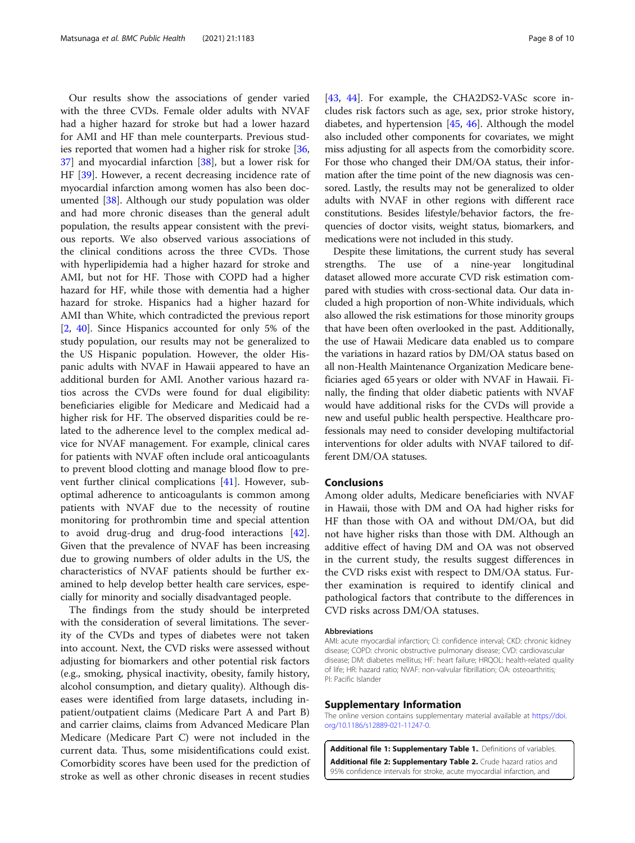<span id="page-7-0"></span>Our results show the associations of gender varied with the three CVDs. Female older adults with NVAF had a higher hazard for stroke but had a lower hazard for AMI and HF than mele counterparts. Previous studies reported that women had a higher risk for stroke [[36](#page-9-0), [37\]](#page-9-0) and myocardial infarction [\[38](#page-9-0)], but a lower risk for HF [\[39](#page-9-0)]. However, a recent decreasing incidence rate of myocardial infarction among women has also been documented [\[38](#page-9-0)]. Although our study population was older and had more chronic diseases than the general adult population, the results appear consistent with the previous reports. We also observed various associations of the clinical conditions across the three CVDs. Those with hyperlipidemia had a higher hazard for stroke and AMI, but not for HF. Those with COPD had a higher hazard for HF, while those with dementia had a higher hazard for stroke. Hispanics had a higher hazard for AMI than White, which contradicted the previous report [[2,](#page-8-0) [40\]](#page-9-0). Since Hispanics accounted for only 5% of the study population, our results may not be generalized to the US Hispanic population. However, the older Hispanic adults with NVAF in Hawaii appeared to have an additional burden for AMI. Another various hazard ratios across the CVDs were found for dual eligibility: beneficiaries eligible for Medicare and Medicaid had a higher risk for HF. The observed disparities could be related to the adherence level to the complex medical advice for NVAF management. For example, clinical cares for patients with NVAF often include oral anticoagulants to prevent blood clotting and manage blood flow to prevent further clinical complications [[41\]](#page-9-0). However, suboptimal adherence to anticoagulants is common among patients with NVAF due to the necessity of routine monitoring for prothrombin time and special attention to avoid drug-drug and drug-food interactions [\[42](#page-9-0)]. Given that the prevalence of NVAF has been increasing due to growing numbers of older adults in the US, the characteristics of NVAF patients should be further examined to help develop better health care services, especially for minority and socially disadvantaged people.

The findings from the study should be interpreted with the consideration of several limitations. The severity of the CVDs and types of diabetes were not taken into account. Next, the CVD risks were assessed without adjusting for biomarkers and other potential risk factors (e.g., smoking, physical inactivity, obesity, family history, alcohol consumption, and dietary quality). Although diseases were identified from large datasets, including inpatient/outpatient claims (Medicare Part A and Part B) and carrier claims, claims from Advanced Medicare Plan Medicare (Medicare Part C) were not included in the current data. Thus, some misidentifications could exist. Comorbidity scores have been used for the prediction of stroke as well as other chronic diseases in recent studies

[[43,](#page-9-0) [44](#page-9-0)]. For example, the CHA2DS2-VASc score includes risk factors such as age, sex, prior stroke history, diabetes, and hypertension [[45,](#page-9-0) [46](#page-9-0)]. Although the model also included other components for covariates, we might miss adjusting for all aspects from the comorbidity score. For those who changed their DM/OA status, their information after the time point of the new diagnosis was censored. Lastly, the results may not be generalized to older adults with NVAF in other regions with different race constitutions. Besides lifestyle/behavior factors, the frequencies of doctor visits, weight status, biomarkers, and medications were not included in this study.

Despite these limitations, the current study has several strengths. The use of a nine-year longitudinal dataset allowed more accurate CVD risk estimation compared with studies with cross-sectional data. Our data included a high proportion of non-White individuals, which also allowed the risk estimations for those minority groups that have been often overlooked in the past. Additionally, the use of Hawaii Medicare data enabled us to compare the variations in hazard ratios by DM/OA status based on all non-Health Maintenance Organization Medicare beneficiaries aged 65 years or older with NVAF in Hawaii. Finally, the finding that older diabetic patients with NVAF would have additional risks for the CVDs will provide a new and useful public health perspective. Healthcare professionals may need to consider developing multifactorial interventions for older adults with NVAF tailored to different DM/OA statuses.

#### Conclusions

Among older adults, Medicare beneficiaries with NVAF in Hawaii, those with DM and OA had higher risks for HF than those with OA and without DM/OA, but did not have higher risks than those with DM. Although an additive effect of having DM and OA was not observed in the current study, the results suggest differences in the CVD risks exist with respect to DM/OA status. Further examination is required to identify clinical and pathological factors that contribute to the differences in CVD risks across DM/OA statuses.

#### Abbreviations

AMI: acute myocardial infarction; CI: confidence interval; CKD: chronic kidney disease; COPD: chronic obstructive pulmonary disease; CVD: cardiovascular disease; DM: diabetes mellitus; HF: heart failure; HRQOL: health-related quality of life; HR: hazard ratio; NVAF: non-valvular fibrillation; OA: osteoarthritis; PI: Pacific Islander

#### Supplementary Information

The online version contains supplementary material available at [https://doi.](https://doi.org/10.1186/s12889-021-11247-0) [org/10.1186/s12889-021-11247-0.](https://doi.org/10.1186/s12889-021-11247-0)

Additional file 1: Supplementary Table 1. Definitions of variables. Additional file 2: Supplementary Table 2. Crude hazard ratios and 95% confidence intervals for stroke, acute myocardial infarction, and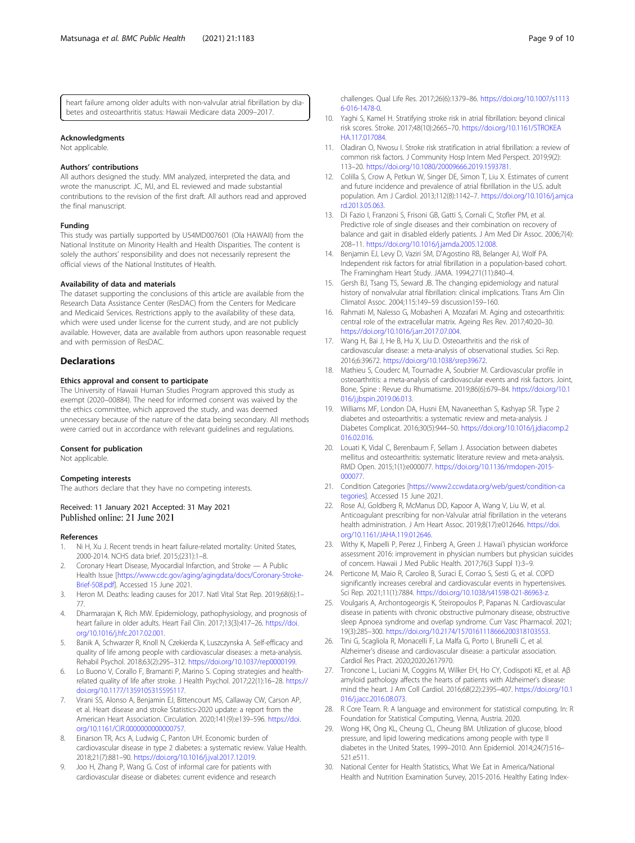<span id="page-8-0"></span>heart failure among older adults with non-valvular atrial fibrillation by diabetes and osteoarthritis status: Hawaii Medicare data 2009–2017.

#### Acknowledgments

Not applicable.

#### Authors' contributions

All authors designed the study. MM analyzed, interpreted the data, and wrote the manuscript. JC, MJ, and EL reviewed and made substantial contributions to the revision of the first draft. All authors read and approved the final manuscript.

#### Funding

This study was partially supported by U54MD007601 (Ola HAWAII) from the National Institute on Minority Health and Health Disparities. The content is solely the authors' responsibility and does not necessarily represent the official views of the National Institutes of Health.

#### Availability of data and materials

The dataset supporting the conclusions of this article are available from the Research Data Assistance Center (ResDAC) from the Centers for Medicare and Medicaid Services. Restrictions apply to the availability of these data, which were used under license for the current study, and are not publicly available. However, data are available from authors upon reasonable request and with permission of ResDAC.

#### Declarations

#### Ethics approval and consent to participate

The University of Hawaii Human Studies Program approved this study as exempt (2020–00884). The need for informed consent was waived by the the ethics committee, which approved the study, and was deemed unnecessary because of the nature of the data being secondary. All methods were carried out in accordance with relevant guidelines and regulations.

#### Consent for publication

Not applicable.

#### Competing interests

The authors declare that they have no competing interests.

#### Received: 11 January 2021 Accepted: 31 May 2021 Published online: 21 June 2021

#### References

- 1. Ni H, Xu J. Recent trends in heart failure-related mortality: United States, 2000-2014. NCHS data brief. 2015;(231):1–8.
- 2. Coronary Heart Disease, Myocardial Infarction, and Stroke A Public Health Issue [\[https://www.cdc.gov/aging/agingdata/docs/Coronary-Stroke-](https://www.cdc.gov/aging/agingdata/docs/Coronary-Stroke-Brief-508.pdf)[Brief-508.pdf](https://www.cdc.gov/aging/agingdata/docs/Coronary-Stroke-Brief-508.pdf)]. Accessed 15 June 2021.
- 3. Heron M. Deaths: leading causes for 2017. Natl Vital Stat Rep. 2019;68(6):1– 77.
- 4. Dharmarajan K, Rich MW. Epidemiology, pathophysiology, and prognosis of heart failure in older adults. Heart Fail Clin. 2017;13(3):417–26. [https://doi.](https://doi.org/10.1016/j.hfc.2017.02.001) [org/10.1016/j.hfc.2017.02.001.](https://doi.org/10.1016/j.hfc.2017.02.001)
- 5. Banik A, Schwarzer R, Knoll N, Czekierda K, Luszczynska A. Self-efficacy and quality of life among people with cardiovascular diseases: a meta-analysis. Rehabil Psychol. 2018;63(2):295–312. <https://doi.org/10.1037/rep0000199>.
- Lo Buono V, Corallo F, Bramanti P, Marino S. Coping strategies and healthrelated quality of life after stroke. J Health Psychol. 2017;22(1):16–28. [https://](https://doi.org/10.1177/1359105315595117) [doi.org/10.1177/1359105315595117.](https://doi.org/10.1177/1359105315595117)
- 7. Virani SS, Alonso A, Benjamin EJ, Bittencourt MS, Callaway CW, Carson AP, et al. Heart disease and stroke Statistics-2020 update: a report from the American Heart Association. Circulation. 2020;141(9):e139–596. [https://doi.](https://doi.org/10.1161/CIR.0000000000000757) [org/10.1161/CIR.0000000000000757.](https://doi.org/10.1161/CIR.0000000000000757)
- Einarson TR, Acs A, Ludwig C, Panton UH. Economic burden of cardiovascular disease in type 2 diabetes: a systematic review. Value Health. 2018;21(7):881–90. <https://doi.org/10.1016/j.jval.2017.12.019>.
- 9. Joo H, Zhang P, Wang G. Cost of informal care for patients with cardiovascular disease or diabetes: current evidence and research
- 10. Yaghi S, Kamel H. Stratifying stroke risk in atrial fibrillation: beyond clinical risk scores. Stroke. 2017;48(10):2665–70. [https://doi.org/10.1161/STROKEA](https://doi.org/10.1161/STROKEAHA.117.017084) [HA.117.017084](https://doi.org/10.1161/STROKEAHA.117.017084).
- 11. Oladiran O, Nwosu I. Stroke risk stratification in atrial fibrillation: a review of common risk factors. J Community Hosp Intern Med Perspect. 2019;9(2): 113–20. <https://doi.org/10.1080/20009666.2019.1593781>.
- 12. Colilla S, Crow A, Petkun W, Singer DE, Simon T, Liu X. Estimates of current and future incidence and prevalence of atrial fibrillation in the U.S. adult population. Am J Cardiol. 2013;112(8):1142–7. [https://doi.org/10.1016/j.amjca](https://doi.org/10.1016/j.amjcard.2013.05.063) [rd.2013.05.063.](https://doi.org/10.1016/j.amjcard.2013.05.063)
- 13. Di Fazio I, Franzoni S, Frisoni GB, Gatti S, Cornali C, Stofler PM, et al. Predictive role of single diseases and their combination on recovery of balance and gait in disabled elderly patients. J Am Med Dir Assoc. 2006;7(4): 208–11. <https://doi.org/10.1016/j.jamda.2005.12.008>.
- 14. Benjamin EJ, Levy D, Vaziri SM, D'Agostino RB, Belanger AJ, Wolf PA. Independent risk factors for atrial fibrillation in a population-based cohort. The Framingham Heart Study. JAMA. 1994;271(11):840–4.
- 15. Gersh BJ, Tsang TS, Seward JB. The changing epidemiology and natural history of nonvalvular atrial fibrillation: clinical implications. Trans Am Clin Climatol Assoc. 2004;115:149–59 discussion159–160.
- 16. Rahmati M, Nalesso G, Mobasheri A, Mozafari M. Aging and osteoarthritis: central role of the extracellular matrix. Ageing Res Rev. 2017;40:20–30. <https://doi.org/10.1016/j.arr.2017.07.004>.
- 17. Wang H, Bai J, He B, Hu X, Liu D. Osteoarthritis and the risk of cardiovascular disease: a meta-analysis of observational studies. Sci Rep. 2016;6:39672. [https://doi.org/10.1038/srep39672.](https://doi.org/10.1038/srep39672)
- 18. Mathieu S, Couderc M, Tournadre A, Soubrier M. Cardiovascular profile in osteoarthritis: a meta-analysis of cardiovascular events and risk factors. Joint, Bone, Spine : Revue du Rhumatisme. 2019;86(6):679–84. [https://doi.org/10.1](https://doi.org/10.1016/j.jbspin.2019.06.013) [016/j.jbspin.2019.06.013](https://doi.org/10.1016/j.jbspin.2019.06.013).
- 19. Williams MF, London DA, Husni EM, Navaneethan S, Kashyap SR. Type 2 diabetes and osteoarthritis: a systematic review and meta-analysis. J Diabetes Complicat. 2016;30(5):944–50. [https://doi.org/10.1016/j.jdiacomp.2](https://doi.org/10.1016/j.jdiacomp.2016.02.016) [016.02.016](https://doi.org/10.1016/j.jdiacomp.2016.02.016).
- 20. Louati K, Vidal C, Berenbaum F, Sellam J. Association between diabetes mellitus and osteoarthritis: systematic literature review and meta-analysis. RMD Open. 2015;1(1):e000077. [https://doi.org/10.1136/rmdopen-2015-](https://doi.org/10.1136/rmdopen-2015-000077) [000077](https://doi.org/10.1136/rmdopen-2015-000077).
- 21. Condition Categories [[https://www2.ccwdata.org/web/guest/condition-ca](https://www2.ccwdata.org/web/guest/condition-categories) [tegories](https://www2.ccwdata.org/web/guest/condition-categories)]. Accessed 15 June 2021.
- 22. Rose AJ, Goldberg R, McManus DD, Kapoor A, Wang V, Liu W, et al. Anticoagulant prescribing for non-Valvular atrial fibrillation in the veterans health administration. J Am Heart Assoc. 2019;8(17):e012646. [https://doi.](https://doi.org/10.1161/JAHA.119.012646) [org/10.1161/JAHA.119.012646](https://doi.org/10.1161/JAHA.119.012646).
- 23. Withy K, Mapelli P, Perez J, Finberg A, Green J. Hawai'i physician workforce assessment 2016: improvement in physician numbers but physician suicides of concern. Hawaii J Med Public Health. 2017;76(3 Suppl 1):3–9.
- 24. Perticone M, Maio R, Caroleo B, Suraci E, Corrao S, Sesti G, et al. COPD significantly increases cerebral and cardiovascular events in hypertensives. Sci Rep. 2021;11(1):7884. <https://doi.org/10.1038/s41598-021-86963-z>.
- 25. Voulgaris A, Archontogeorgis K, Steiropoulos P, Papanas N. Cardiovascular disease in patients with chronic obstructive pulmonary disease, obstructive sleep Apnoea syndrome and overlap syndrome. Curr Vasc Pharmacol. 2021; 19(3):285–300. [https://doi.org/10.2174/1570161118666200318103553.](https://doi.org/10.2174/1570161118666200318103553)
- 26. Tini G, Scagliola R, Monacelli F, La Malfa G, Porto I, Brunelli C, et al. Alzheimer's disease and cardiovascular disease: a particular association. Cardiol Res Pract. 2020;2020:2617970.
- 27. Troncone L, Luciani M, Coggins M, Wilker EH, Ho CY, Codispoti KE, et al. Aβ amyloid pathology affects the hearts of patients with Alzheimer's disease: mind the heart. J Am Coll Cardiol. 2016;68(22):2395–407. [https://doi.org/10.1](https://doi.org/10.1016/j.jacc.2016.08.073) [016/j.jacc.2016.08.073](https://doi.org/10.1016/j.jacc.2016.08.073).
- 28. R Core Team. R: A language and environment for statistical computing. In: R Foundation for Statistical Computing, Vienna, Austria. 2020.
- 29. Wong HK, Ong KL, Cheung CL, Cheung BM. Utilization of glucose, blood pressure, and lipid lowering medications among people with type II diabetes in the United States, 1999–2010. Ann Epidemiol. 2014;24(7):516– 521.e511.
- 30. National Center for Health Statistics, What We Eat in America/National Health and Nutrition Examination Survey, 2015-2016. Healthy Eating Index-